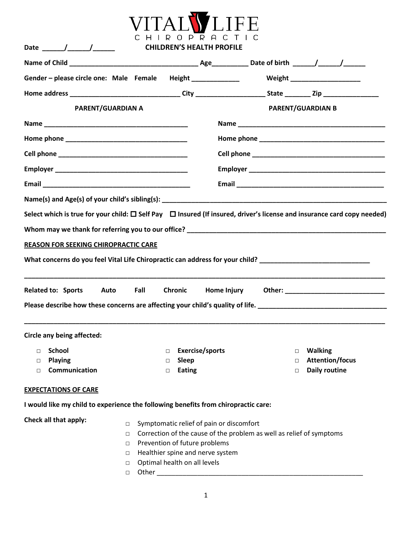

| Gender – please circle one: Male Female Height ______________ Weight __________________                                                                                                                                                                                                                               |                   |                                                                  |                                                                      |                                                                                                                                   |
|-----------------------------------------------------------------------------------------------------------------------------------------------------------------------------------------------------------------------------------------------------------------------------------------------------------------------|-------------------|------------------------------------------------------------------|----------------------------------------------------------------------|-----------------------------------------------------------------------------------------------------------------------------------|
|                                                                                                                                                                                                                                                                                                                       |                   |                                                                  |                                                                      |                                                                                                                                   |
|                                                                                                                                                                                                                                                                                                                       | PARENT/GUARDIAN A |                                                                  |                                                                      | <b>PARENT/GUARDIAN B</b>                                                                                                          |
|                                                                                                                                                                                                                                                                                                                       |                   |                                                                  |                                                                      |                                                                                                                                   |
|                                                                                                                                                                                                                                                                                                                       |                   |                                                                  |                                                                      |                                                                                                                                   |
|                                                                                                                                                                                                                                                                                                                       |                   |                                                                  |                                                                      |                                                                                                                                   |
|                                                                                                                                                                                                                                                                                                                       |                   |                                                                  |                                                                      |                                                                                                                                   |
|                                                                                                                                                                                                                                                                                                                       |                   |                                                                  |                                                                      |                                                                                                                                   |
|                                                                                                                                                                                                                                                                                                                       |                   |                                                                  |                                                                      |                                                                                                                                   |
|                                                                                                                                                                                                                                                                                                                       |                   |                                                                  |                                                                      | Select which is true for your child: $\Box$ Self Pay $\Box$ Insured (If insured, driver's license and insurance card copy needed) |
|                                                                                                                                                                                                                                                                                                                       |                   |                                                                  |                                                                      |                                                                                                                                   |
|                                                                                                                                                                                                                                                                                                                       |                   |                                                                  |                                                                      |                                                                                                                                   |
| <b>REASON FOR SEEKING CHIROPRACTIC CARE</b>                                                                                                                                                                                                                                                                           |                   |                                                                  |                                                                      |                                                                                                                                   |
| What concerns do you feel Vital Life Chiropractic can address for your child? ________________________________                                                                                                                                                                                                        |                   |                                                                  |                                                                      |                                                                                                                                   |
|                                                                                                                                                                                                                                                                                                                       |                   |                                                                  |                                                                      |                                                                                                                                   |
|                                                                                                                                                                                                                                                                                                                       |                   |                                                                  |                                                                      |                                                                                                                                   |
|                                                                                                                                                                                                                                                                                                                       |                   |                                                                  |                                                                      |                                                                                                                                   |
|                                                                                                                                                                                                                                                                                                                       | Fall              | Chronic                                                          | Home Injury                                                          |                                                                                                                                   |
|                                                                                                                                                                                                                                                                                                                       |                   |                                                                  |                                                                      |                                                                                                                                   |
|                                                                                                                                                                                                                                                                                                                       |                   |                                                                  |                                                                      | Please describe how these concerns are affecting your child's quality of life. _______________________________                    |
|                                                                                                                                                                                                                                                                                                                       |                   |                                                                  |                                                                      |                                                                                                                                   |
|                                                                                                                                                                                                                                                                                                                       |                   |                                                                  |                                                                      |                                                                                                                                   |
| $\Box$                                                                                                                                                                                                                                                                                                                |                   | П                                                                |                                                                      | $\Box$                                                                                                                            |
| <b>Playing</b><br>Communication<br>$\Box$                                                                                                                                                                                                                                                                             |                   | <b>Sleep</b><br><b>Eating</b><br>$\Box$                          |                                                                      | <b>Attention/focus</b><br><b>Daily routine</b><br>$\Box$                                                                          |
| Related to: Sports Auto<br>Circle any being affected:<br>□ School and a service/sports and a service of the service of the service of the service of the service of the service of the service of the service of the service of the service of the service of the service of the servi<br><b>EXPECTATIONS OF CARE</b> |                   |                                                                  |                                                                      |                                                                                                                                   |
| I would like my child to experience the following benefits from chiropractic care:                                                                                                                                                                                                                                    |                   |                                                                  |                                                                      |                                                                                                                                   |
|                                                                                                                                                                                                                                                                                                                       |                   |                                                                  |                                                                      |                                                                                                                                   |
|                                                                                                                                                                                                                                                                                                                       | $\Box$            | Symptomatic relief of pain or discomfort                         |                                                                      |                                                                                                                                   |
| Check all that apply:                                                                                                                                                                                                                                                                                                 | $\Box$            |                                                                  | Correction of the cause of the problem as well as relief of symptoms |                                                                                                                                   |
|                                                                                                                                                                                                                                                                                                                       | $\Box$<br>□       | Prevention of future problems                                    |                                                                      |                                                                                                                                   |
|                                                                                                                                                                                                                                                                                                                       | $\Box$            | Healthier spine and nerve system<br>Optimal health on all levels |                                                                      |                                                                                                                                   |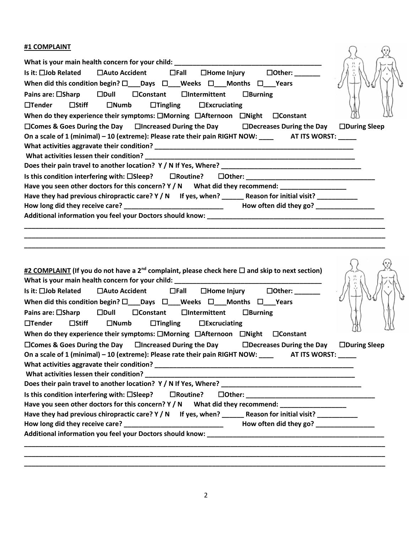| #1 COMPLAINT<br>When did this condition begin? $\square$ Days $\square$ Weeks $\square$ Months $\square$ Years<br>Pains are: □Sharp □Dull □Constant □Intermittent<br>$\Box$ Burning<br>$\Box$ Stiff<br>$\Box$ Tender<br>$\square$ Numb<br>$\Box$ Tingling $\Box$ Excruciating<br>When do they experience their symptoms: $\square$ Morning $\square$ Afternoon $\square$ Night $\square$ Constant<br>$\square$ Comes & Goes During the Day $\square$ Increased During the Day $\square$ Decreases During the Day<br>$\Box$ During Sleep<br>On a scale of 1 (minimal) - 10 (extreme): Please rate their pain RIGHT NOW: __________________________________<br>Is this condition interfering with: $\square$ Sleep? $\square$ Routine?<br>Have you seen other doctors for this concern? Y / N What did they recommend: __________________<br>Have they had previous chiropractic care? Y / N If yes, when? _______ Reason for initial visit? __________                                                                                                                                                                                           |  |
|-------------------------------------------------------------------------------------------------------------------------------------------------------------------------------------------------------------------------------------------------------------------------------------------------------------------------------------------------------------------------------------------------------------------------------------------------------------------------------------------------------------------------------------------------------------------------------------------------------------------------------------------------------------------------------------------------------------------------------------------------------------------------------------------------------------------------------------------------------------------------------------------------------------------------------------------------------------------------------------------------------------------------------------------------------------------------------------------------------------------------------------------------|--|
| #2 COMPLAINT (If you do not have a 2 <sup>nd</sup> complaint, please check here $\Box$ and skip to next section)<br>Is it: $\square$ Job Related $\square$ Auto Accident $\square$ Fall $\square$ Home Injury $\square$ Other: ______<br>When did this condition begin? $\square$ Days $\square$ Weeks $\square$ Months $\square$ Years<br>Pains are: □Sharp □Dull □Constant □Intermittent □Burning<br>$\Box$ Tender<br>$\square$ Stiff<br>$\Box$ Tingling $\Box$ Excruciating<br>$\square$ Numb<br>When do they experience their symptoms: $\Box$ Morning $\Box$ Afternoon $\Box$ Night $\Box$ Constant<br>$\square$ Comes & Goes During the Day $\square$ Increased During the Day $\square$ Decreases During the Day $\square$ During Sleep<br>On a scale of 1 (minimal) - 10 (extreme): Please rate their pain RIGHT NOW: __________________________________<br>Is this condition interfering with: □Sleep? □ □Routine?<br>Have you seen other doctors for this concern? Y / N What did they recommend: ______________________<br>Have they had previous chiropractic care? Y / N If yes, when? ______ Reason for initial visit? __________ |  |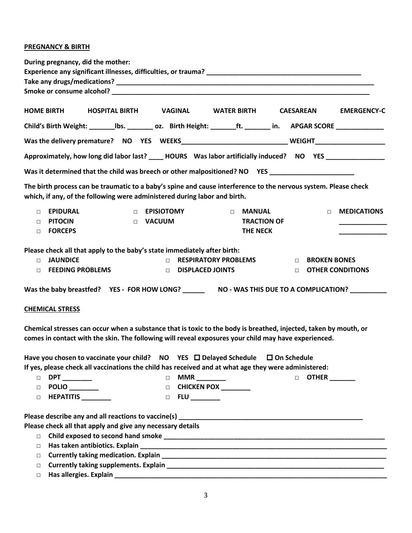#### **PREGNANCY & BIRTH**

| During pregnancy, did the mother:                                                                                                                                                                                        |
|--------------------------------------------------------------------------------------------------------------------------------------------------------------------------------------------------------------------------|
|                                                                                                                                                                                                                          |
|                                                                                                                                                                                                                          |
|                                                                                                                                                                                                                          |
| <b>HOME BIRTH</b><br>HOSPITAL BIRTH VAGINAL<br>WATER BIRTH CAESAREAN<br><b>EMERGENCY-C</b>                                                                                                                               |
| Child's Birth Weight: _____________bs. ___________ oz. Birth Height: ________ft. ________ in. APGAR SCORE ________________                                                                                               |
| Was the delivery premature? NO YES WEEKS______________________________WEIGHT________________________                                                                                                                     |
| Approximately, how long did labor last? _____ HOURS Was labor artificially induced? NO YES __________________                                                                                                            |
| Was it determined that the child was breech or other malpositioned? NO YES ________________________                                                                                                                      |
| The birth process can be traumatic to a baby's spine and cause interference to the nervous system. Please check<br>which, if any, of the following were administered during labor and birth.                             |
| <b>EPIDURAL</b><br><b>EPISIOTOMY</b><br><b>MEDICATIONS</b><br><b>MANUAL</b><br>$\Box$<br>$\Box$<br>$\Box$<br>$\Box$                                                                                                      |
| <b>TRACTION OF</b><br><b>PITOCIN</b><br>D VACUUM<br>$\Box$                                                                                                                                                               |
| <b>FORCEPS</b><br><b>THE NECK</b><br>$\Box$                                                                                                                                                                              |
| Please check all that apply to the baby's state immediately after birth:                                                                                                                                                 |
| <b>JAUNDICE</b><br><b>RESPIRATORY PROBLEMS</b><br><b>BROKEN BONES</b><br>$\Box$<br>$\Box$<br>$\Box$<br><b>FEEDING PROBLEMS</b><br>DISPLACED JOINTS                                                                       |
| <b>OTHER CONDITIONS</b><br>$\Box$<br>$\Box$                                                                                                                                                                              |
|                                                                                                                                                                                                                          |
| <b>CHEMICAL STRESS</b>                                                                                                                                                                                                   |
| Chemical stresses can occur when a substance that is toxic to the body is breathed, injected, taken by mouth, or<br>comes in contact with the skin. The following will reveal exposures your child may have experienced. |
| Have you chosen to vaccinate your child? NO YES □ Delayed Schedule □ On Schedule<br>If yes, please check all vaccinations the child has received and at what age they were administered:                                 |
| $\Box$ DPT _______<br>□ MMR ________<br>D OTHER ______                                                                                                                                                                   |
| D CHICKEN POX _______<br>$\Box$ POLIO _______                                                                                                                                                                            |
| $\Box$ HEPATITIS _________<br>$\Box$ FLU _______                                                                                                                                                                         |
|                                                                                                                                                                                                                          |
| Please check all that apply and give any necessary details                                                                                                                                                               |

- □ **Child exposed to second hand smoke \_\_\_\_\_\_\_\_\_\_\_\_\_\_\_\_\_\_\_\_\_\_\_\_\_\_\_\_\_\_\_\_\_\_\_\_\_\_\_\_\_\_\_\_\_\_\_\_\_\_\_\_\_\_\_\_\_\_\_\_** □ **Has taken antibiotics. Explain \_\_\_\_\_\_\_\_\_\_\_\_\_\_\_\_\_\_\_\_\_\_\_\_\_\_\_\_\_\_\_\_\_\_\_\_\_\_\_\_\_\_\_\_\_\_\_\_\_\_\_\_\_\_\_\_\_\_\_\_\_\_\_\_\_\_\_**
	-
	- □ **Currently taking medication. Explain \_\_\_\_\_\_\_\_\_\_\_\_\_\_\_\_\_\_\_\_\_\_\_\_\_\_\_\_\_\_\_\_\_\_\_\_\_\_\_\_\_\_\_\_\_\_\_\_\_\_\_\_\_\_\_\_\_\_\_\_\_**
	- □ **Currently taking supplements. Explain \_\_\_\_\_\_\_\_\_\_\_\_\_\_\_\_\_\_\_\_\_\_\_\_\_\_\_\_\_\_\_\_\_\_\_\_\_\_\_\_\_\_\_\_\_\_\_\_\_\_\_\_\_\_\_\_\_\_\_**
	- □ **Has allergies. Explain \_\_\_\_\_\_\_\_\_\_\_\_\_\_\_\_\_\_\_\_\_\_\_\_\_\_\_\_\_\_\_\_\_\_\_\_\_\_\_\_\_\_\_\_\_\_\_\_\_\_\_\_\_\_\_\_\_\_\_\_\_\_\_\_\_\_\_\_\_\_\_\_\_\_**
		- 3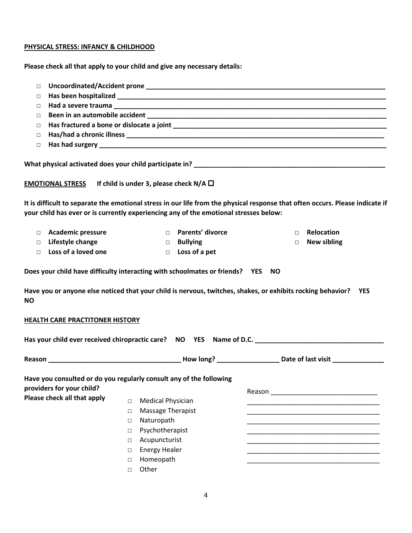# **PHYSICAL STRESS: INFANCY & CHILDHOOD**

**Please check all that apply to your child and give any necessary details:**

| $\Box$<br>$\Box$<br>□                                                                                                                                                                                                  |                              |
|------------------------------------------------------------------------------------------------------------------------------------------------------------------------------------------------------------------------|------------------------------|
|                                                                                                                                                                                                                        |                              |
|                                                                                                                                                                                                                        |                              |
| $\Box$                                                                                                                                                                                                                 |                              |
| $\Box$                                                                                                                                                                                                                 |                              |
| $\Box$                                                                                                                                                                                                                 |                              |
| $\Box$                                                                                                                                                                                                                 |                              |
|                                                                                                                                                                                                                        |                              |
|                                                                                                                                                                                                                        |                              |
| EMOTIONAL STRESS If child is under 3, please check $N/A$ $\square$                                                                                                                                                     |                              |
| It is difficult to separate the emotional stress in our life from the physical response that often occurs. Please indicate if<br>your child has ever or is currently experiencing any of the emotional stresses below: |                              |
| D Parents' divorce<br><b>Academic pressure</b><br>$\Box$                                                                                                                                                               | <b>Relocation</b><br>$\Box$  |
| Lifestyle change<br>$\Box$ Bullying<br>П.                                                                                                                                                                              | <b>New sibling</b><br>$\Box$ |
| Loss of a loved one<br>$\Box$ Loss of a pet<br>$\Box$                                                                                                                                                                  |                              |
| Have you or anyone else noticed that your child is nervous, twitches, shakes, or exhibits rocking behavior? YES<br><b>NO</b><br>HEALTH CARE PRACTITONER HISTORY                                                        |                              |
|                                                                                                                                                                                                                        |                              |
|                                                                                                                                                                                                                        |                              |
|                                                                                                                                                                                                                        |                              |
| Has your child ever received chiropractic care? NO YES Name of D.C. ________________________________<br>Have you consulted or do you regularly consult any of the following<br>providers for your child?               |                              |
| Please check all that apply<br>$\Box$                                                                                                                                                                                  |                              |
| <b>Medical Physician</b><br>Massage Therapist<br>$\Box$                                                                                                                                                                |                              |
| Naturopath<br>$\Box$                                                                                                                                                                                                   |                              |
| Psychotherapist<br>$\Box$                                                                                                                                                                                              |                              |
| $\Box$                                                                                                                                                                                                                 |                              |
| Acupuncturist<br><b>Energy Healer</b><br>$\Box$                                                                                                                                                                        |                              |
| Homeopath<br>$\Box$                                                                                                                                                                                                    |                              |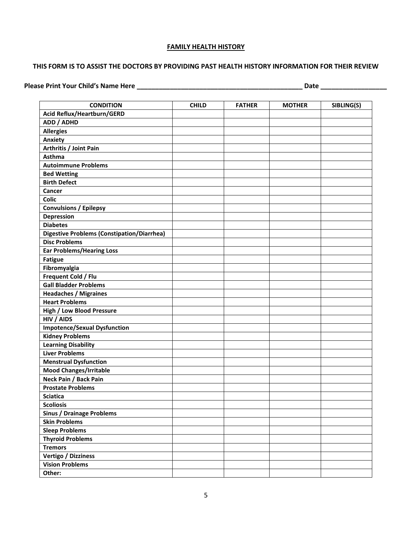#### **FAMILY HEALTH HISTORY**

#### **THIS FORM IS TO ASSIST THE DOCTORS BY PROVIDING PAST HEALTH HISTORY INFORMATION FOR THEIR REVIEW**

**Please Print Your Child's Name Here \_\_\_\_\_\_\_\_\_\_\_\_\_\_\_\_\_\_\_\_\_\_\_\_\_\_\_\_\_\_\_\_\_\_\_\_\_\_\_\_\_\_\_\_\_ Date \_\_\_\_\_\_\_\_\_\_\_\_\_\_\_\_\_\_**

| <b>CONDITION</b>                                  | <b>CHILD</b> | <b>FATHER</b> | <b>MOTHER</b> | SIBLING(S) |
|---------------------------------------------------|--------------|---------------|---------------|------------|
| Acid Reflux/Heartburn/GERD                        |              |               |               |            |
| ADD / ADHD                                        |              |               |               |            |
| <b>Allergies</b>                                  |              |               |               |            |
| Anxiety                                           |              |               |               |            |
| Arthritis / Joint Pain                            |              |               |               |            |
| Asthma                                            |              |               |               |            |
| <b>Autoimmune Problems</b>                        |              |               |               |            |
| <b>Bed Wetting</b>                                |              |               |               |            |
| <b>Birth Defect</b>                               |              |               |               |            |
| Cancer                                            |              |               |               |            |
| <b>Colic</b>                                      |              |               |               |            |
| <b>Convulsions / Epilepsy</b>                     |              |               |               |            |
| <b>Depression</b>                                 |              |               |               |            |
| <b>Diabetes</b>                                   |              |               |               |            |
| <b>Digestive Problems (Constipation/Diarrhea)</b> |              |               |               |            |
| <b>Disc Problems</b>                              |              |               |               |            |
| <b>Ear Problems/Hearing Loss</b>                  |              |               |               |            |
| <b>Fatigue</b>                                    |              |               |               |            |
| Fibromyalgia                                      |              |               |               |            |
| Frequent Cold / Flu                               |              |               |               |            |
| <b>Gall Bladder Problems</b>                      |              |               |               |            |
| <b>Headaches / Migraines</b>                      |              |               |               |            |
| <b>Heart Problems</b>                             |              |               |               |            |
| <b>High / Low Blood Pressure</b>                  |              |               |               |            |
| HIV / AIDS                                        |              |               |               |            |
| <b>Impotence/Sexual Dysfunction</b>               |              |               |               |            |
| <b>Kidney Problems</b>                            |              |               |               |            |
| <b>Learning Disability</b>                        |              |               |               |            |
| <b>Liver Problems</b>                             |              |               |               |            |
| <b>Menstrual Dysfunction</b>                      |              |               |               |            |
| <b>Mood Changes/Irritable</b>                     |              |               |               |            |
| Neck Pain / Back Pain                             |              |               |               |            |
| <b>Prostate Problems</b>                          |              |               |               |            |
| <b>Sciatica</b>                                   |              |               |               |            |
| <b>Scoliosis</b>                                  |              |               |               |            |
| <b>Sinus / Drainage Problems</b>                  |              |               |               |            |
| <b>Skin Problems</b>                              |              |               |               |            |
| <b>Sleep Problems</b>                             |              |               |               |            |
| <b>Thyroid Problems</b>                           |              |               |               |            |
| <b>Tremors</b>                                    |              |               |               |            |
| Vertigo / Dizziness                               |              |               |               |            |
| <b>Vision Problems</b>                            |              |               |               |            |
| Other:                                            |              |               |               |            |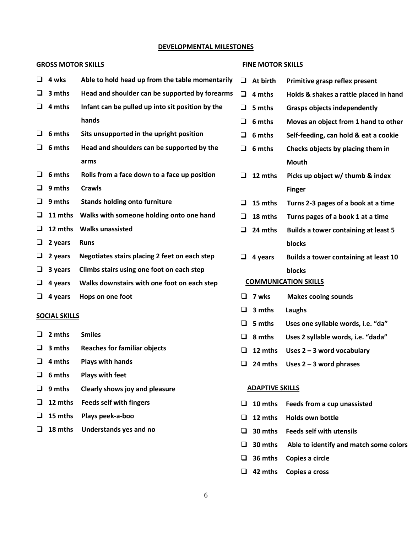#### **DEVELOPMENTAL MILESTONES**

#### **GROSS MOTOR SKILLS FINE MOTOR SKILLS**

| ❏                    | 4 wks   | Able to hold head up from the table momentarily  | $\Box$                      | <b>At birth</b>        | Primitive grasp reflex present              |
|----------------------|---------|--------------------------------------------------|-----------------------------|------------------------|---------------------------------------------|
| ❏                    | 3 mths  | Head and shoulder can be supported by forearms   | $\Box$                      | 4 mths                 | Holds & shakes a rattle placed in hand      |
| □                    | 4 mths  | Infant can be pulled up into sit position by the | $\Box$                      | 5 mths                 | <b>Grasps objects independently</b>         |
|                      |         | hands                                            | ❏                           | 6 mths                 | Moves an object from 1 hand to other        |
| ❏                    | 6 mths  | Sits unsupported in the upright position         | ❏                           | 6 mths                 | Self-feeding, can hold & eat a cookie       |
| u                    | 6 mths  | Head and shoulders can be supported by the       | ❏                           | 6 mths                 | Checks objects by placing them in           |
|                      |         | arms                                             |                             |                        | <b>Mouth</b>                                |
| ❏                    | 6 mths  | Rolls from a face down to a face up position     | ❏                           | 12 mths                | Picks up object w/ thumb & index            |
| ❏                    | 9 mths  | <b>Crawls</b>                                    |                             |                        | <b>Finger</b>                               |
| $\Box$               | 9 mths  | <b>Stands holding onto furniture</b>             | □                           | 15 mths                | Turns 2-3 pages of a book at a time         |
| ❏                    | 11 mths | Walks with someone holding onto one hand         | ❏                           | 18 mths                | Turns pages of a book 1 at a time           |
| ❏                    | 12 mths | <b>Walks unassisted</b>                          | ❏                           | 24 mths                | <b>Builds a tower containing at least 5</b> |
| ⊔                    | 2 years | <b>Runs</b>                                      |                             |                        | blocks                                      |
| $\Box$               | 2 years | Negotiates stairs placing 2 feet on each step    | ⊔                           | 4 years                | Builds a tower containing at least 10       |
| ❏                    | 3 years | Climbs stairs using one foot on each step        |                             |                        | blocks                                      |
| ⊔                    | 4 years | Walks downstairs with one foot on each step      | <b>COMMUNICATION SKILLS</b> |                        |                                             |
| $\Box$               | 4 years | Hops on one foot                                 |                             | $\Box$ 7 wks           | <b>Makes cooing sounds</b>                  |
| <b>SOCIAL SKILLS</b> |         |                                                  | ❏                           | 3 mths                 | Laughs                                      |
|                      |         |                                                  | ❏                           | 5 mths                 | Uses one syllable words, i.e. "da"          |
| ❏                    | 2 mths  | <b>Smiles</b>                                    | ❏                           | 8 mths                 | Uses 2 syllable words, i.e. "dada"          |
| $\Box$               | 3 mths  | <b>Reaches for familiar objects</b>              | ❏                           | 12 mths                | Uses $2 - 3$ word vocabulary                |
| ❏                    | 4 mths  | <b>Plays with hands</b>                          | ❏                           | 24 mths                | Uses $2 - 3$ word phrases                   |
| u                    | 6 mths  | <b>Plays with feet</b>                           |                             |                        |                                             |
| u.                   | 9 mths  | Clearly shows joy and pleasure                   |                             | <b>ADAPTIVE SKILLS</b> |                                             |

- ❑ **12 mths Feeds self with fingers**
- ❑ **15 mths Plays peek-a-boo**
- ❑ **18 mths Understands yes and no**

❑ **30 mths Feeds self with utensils**

❑ **12 mths Holds own bottle**

❑ **30 mths Able to identify and match some colors**

❑ **10 mths Feeds from a cup unassisted**

- ❑ **36 mths Copies a circle**
- ❑ **42 mths Copies a cross**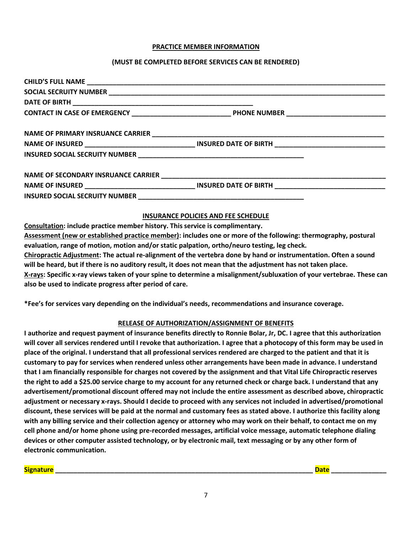#### **PRACTICE MEMBER INFORMATION**

#### **(MUST BE COMPLETED BEFORE SERVICES CAN BE RENDERED)**

#### **INSURANCE POLICIES AND FEE SCHEDULE**

**Consultation: include practice member history. This service is complimentary.**

**Assessment (new or established practice member): includes one or more of the following: thermography, postural evaluation, range of motion, motion and/or static palpation, ortho/neuro testing, leg check.**

**Chiropractic Adjustment: The actual re-alignment of the vertebra done by hand or instrumentation. Often a sound will be heard, but if there is no auditory result, it does not mean that the adjustment has not taken place. X-rays: Specific x-ray views taken of your spine to determine a misalignment/subluxation of your vertebrae. These can also be used to indicate progress after period of care.**

**\*Fee's for services vary depending on the individual's needs, recommendations and insurance coverage.**

#### **RELEASE OF AUTHORIZATION/ASSIGNMENT OF BENEFITS**

**I authorize and request payment of insurance benefits directly to Ronnie Bolar, Jr, DC. I agree that this authorization will cover all services rendered until I revoke that authorization. I agree that a photocopy of this form may be used in place of the original. I understand that all professional services rendered are charged to the patient and that it is customary to pay for services when rendered unless other arrangements have been made in advance. I understand that I am financially responsible for charges not covered by the assignment and that Vital Life Chiropractic reserves the right to add a \$25.00 service charge to my account for any returned check or charge back. I understand that any advertisement/promotional discount offered may not include the entire assessment as described above, chiropractic adjustment or necessary x-rays. Should I decide to proceed with any services not included in advertised/promotional discount, these services will be paid at the normal and customary fees as stated above. I authorize this facility along with any billing service and their collection agency or attorney who may work on their behalf, to contact me on my cell phone and/or home phone using pre-recorded messages, artificial voice message, automatic telephone dialing devices or other computer assisted technology, or by electronic mail, text messaging or by any other form of electronic communication.**

**Signature \_\_\_\_\_\_\_\_\_\_\_\_\_\_\_\_\_\_\_\_\_\_\_\_\_\_\_\_\_\_\_\_\_\_\_\_\_\_\_\_\_\_\_\_\_\_\_\_\_\_\_\_\_\_\_\_\_\_\_\_\_\_\_\_\_\_\_\_\_\_ Date \_\_\_\_\_\_\_\_\_\_\_\_\_\_\_**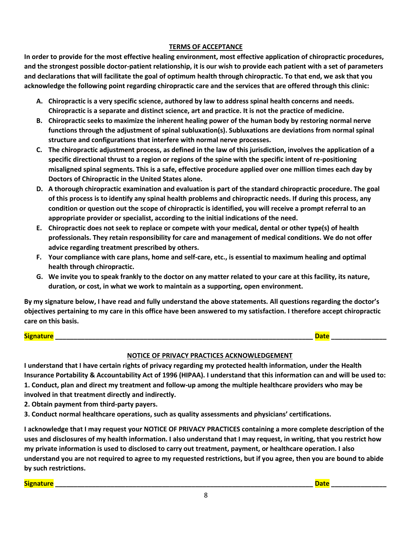### **TERMS OF ACCEPTANCE**

**In order to provide for the most effective healing environment, most effective application of chiropractic procedures, and the strongest possible doctor-patient relationship, it is our wish to provide each patient with a set of parameters and declarations that will facilitate the goal of optimum health through chiropractic. To that end, we ask that you acknowledge the following point regarding chiropractic care and the services that are offered through this clinic:**

- **A. Chiropractic is a very specific science, authored by law to address spinal health concerns and needs. Chiropractic is a separate and distinct science, art and practice. It is not the practice of medicine.**
- **B. Chiropractic seeks to maximize the inherent healing power of the human body by restoring normal nerve functions through the adjustment of spinal subluxation(s). Subluxations are deviations from normal spinal structure and configurations that interfere with normal nerve processes.**
- **C. The chiropractic adjustment process, as defined in the law of this jurisdiction, involves the application of a specific directional thrust to a region or regions of the spine with the specific intent of re-positioning misaligned spinal segments. This is a safe, effective procedure applied over one million times each day by Doctors of Chiropractic in the United States alone.**
- **D. A thorough chiropractic examination and evaluation is part of the standard chiropractic procedure. The goal of this process is to identify any spinal health problems and chiropractic needs. If during this process, any condition or question out the scope of chiropractic is identified, you will receive a prompt referral to an appropriate provider or specialist, according to the initial indications of the need.**
- **E. Chiropractic does not seek to replace or compete with your medical, dental or other type(s) of health professionals. They retain responsibility for care and management of medical conditions. We do not offer advice regarding treatment prescribed by others.**
- **F. Your compliance with care plans, home and self-care, etc., is essential to maximum healing and optimal health through chiropractic.**
- **G. We invite you to speak frankly to the doctor on any matter related to your care at this facility, its nature, duration, or cost, in what we work to maintain as a supporting, open environment.**

**By my signature below, I have read and fully understand the above statements. All questions regarding the doctor's objectives pertaining to my care in this office have been answered to my satisfaction. I therefore accept chiropractic care on this basis.** 

#### **Signature Date Letters in the set of the set of the set of the set of the set of the set of the set of the set of the set of the set of the set of the set of the set of the set of the set of the set of the set of the**

# **NOTICE OF PRIVACY PRACTICES ACKNOWLEDGEMENT**

**I understand that I have certain rights of privacy regarding my protected health information, under the Health Insurance Portability & Accountability Act of 1996 (HIPAA). I understand that this information can and will be used to: 1. Conduct, plan and direct my treatment and follow-up among the multiple healthcare providers who may be involved in that treatment directly and indirectly.**

**2. Obtain payment from third-party payers.**

**3. Conduct normal healthcare operations, such as quality assessments and physicians' certifications.**

**I acknowledge that I may request your NOTICE OF PRIVACY PRACTICES containing a more complete description of the uses and disclosures of my health information. I also understand that I may request, in writing, that you restrict how my private information is used to disclosed to carry out treatment, payment, or healthcare operation. I also understand you are not required to agree to my requested restrictions, but if you agree, then you are bound to abide by such restrictions.** 

**Signature \_\_\_\_\_\_\_\_\_\_\_\_\_\_\_\_\_\_\_\_\_\_\_\_\_\_\_\_\_\_\_\_\_\_\_\_\_\_\_\_\_\_\_\_\_\_\_\_\_\_\_\_\_\_\_\_\_\_\_\_\_\_\_\_\_\_\_\_\_\_ Date \_\_\_\_\_\_\_\_\_\_\_\_\_\_\_**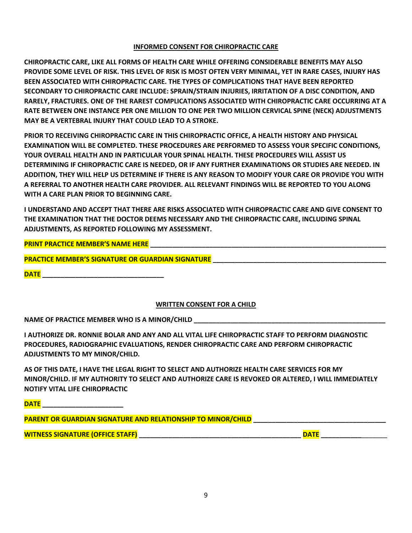#### **INFORMED CONSENT FOR CHIROPRACTIC CARE**

**CHIROPRACTIC CARE, LIKE ALL FORMS OF HEALTH CARE WHILE OFFERING CONSIDERABLE BENEFITS MAY ALSO PROVIDE SOME LEVEL OF RISK. THIS LEVEL OF RISK IS MOST OFTEN VERY MINIMAL, YET IN RARE CASES, INJURY HAS BEEN ASSOCIATED WITH CHIROPRACTIC CARE. THE TYPES OF COMPLICATIONS THAT HAVE BEEN REPORTED SECONDARY TO CHIROPRACTIC CARE INCLUDE: SPRAIN/STRAIN INJURIES, IRRITATION OF A DISC CONDITION, AND RARELY, FRACTURES. ONE OF THE RAREST COMPLICATIONS ASSOCIATED WITH CHIROPRACTIC CARE OCCURRING AT A RATE BETWEEN ONE INSTANCE PER ONE MILLION TO ONE PER TWO MILLION CERVICAL SPINE (NECK) ADJUSTMENTS MAY BE A VERTEBRAL INJURY THAT COULD LEAD TO A STROKE.**

**PRIOR TO RECEIVING CHIROPRACTIC CARE IN THIS CHIROPRACTIC OFFICE, A HEALTH HISTORY AND PHYSICAL EXAMINATION WILL BE COMPLETED. THESE PROCEDURES ARE PERFORMED TO ASSESS YOUR SPECIFIC CONDITIONS, YOUR OVERALL HEALTH AND IN PARTICULAR YOUR SPINAL HEALTH. THESE PROCEDURES WILL ASSIST US DETERMINING IF CHIROPRACTIC CARE IS NEEDED, OR IF ANY FURTHER EXAMINATIONS OR STUDIES ARE NEEDED. IN ADDITION, THEY WILL HELP US DETERMINE IF THERE IS ANY REASON TO MODIFY YOUR CARE OR PROVIDE YOU WITH A REFERRAL TO ANOTHER HEALTH CARE PROVIDER. ALL RELEVANT FINDINGS WILL BE REPORTED TO YOU ALONG WITH A CARE PLAN PRIOR TO BEGINNING CARE.** 

**I UNDERSTAND AND ACCEPT THAT THERE ARE RISKS ASSOCIATED WITH CHIROPRACTIC CARE AND GIVE CONSENT TO THE EXAMINATION THAT THE DOCTOR DEEMS NECESSARY AND THE CHIROPRACTIC CARE, INCLUDING SPINAL ADJUSTMENTS, AS REPORTED FOLLOWING MY ASSESSMENT.**

## **PRINT PRACTICE MEMBER'S NAME HERE \_\_\_\_\_\_\_\_\_\_\_\_\_\_\_\_\_\_\_\_\_\_\_\_\_\_\_\_\_\_\_\_\_\_\_\_\_\_\_\_\_\_\_\_\_\_\_\_\_\_\_\_\_\_\_\_\_\_\_\_\_\_\_\_**

### **PRACTICE MEMBER'S SIGNATURE OR GUARDIAN SIGNATURE \_\_\_\_\_\_\_\_\_\_\_\_\_\_\_\_\_\_\_\_\_\_\_\_\_\_\_\_\_\_\_\_\_\_\_\_\_\_\_\_\_\_\_\_\_\_\_**

**DATE \_\_\_\_\_\_\_\_\_\_\_\_\_\_\_\_\_\_\_\_\_\_\_\_\_\_\_\_\_\_\_\_\_**

#### **WRITTEN CONSENT FOR A CHILD**

NAME OF PRACTICE MEMBER WHO IS A MINOR/CHILD

**I AUTHORIZE DR. RONNIE BOLAR AND ANY AND ALL VITAL LIFE CHIROPRACTIC STAFF TO PERFORM DIAGNOSTIC PROCEDURES, RADIOGRAPHIC EVALUATIONS, RENDER CHIROPRACTIC CARE AND PERFORM CHIROPRACTIC ADJUSTMENTS TO MY MINOR/CHILD.**

**AS OF THIS DATE, I HAVE THE LEGAL RIGHT TO SELECT AND AUTHORIZE HEALTH CARE SERVICES FOR MY MINOR/CHILD. IF MY AUTHORITY TO SELECT AND AUTHORIZE CARE IS REVOKED OR ALTERED, I WILL IMMEDIATELY NOTIFY VITAL LIFE CHIROPRACTIC**

**DATE \_\_\_\_\_\_\_\_\_\_\_\_\_\_\_\_\_\_\_\_\_\_**

**PARENT OR GUARDIAN SIGNATURE AND RELATIONSHIP TO MINOR/CHILD \_\_\_\_\_\_\_\_\_\_\_\_\_\_\_\_\_\_\_\_\_\_\_\_\_\_\_\_\_\_\_\_\_\_\_\_**

**WITNESS SIGNATURE (OFFICE STAFF) \_\_\_\_\_\_\_\_\_\_\_\_\_\_\_\_\_\_\_\_\_\_\_\_\_\_\_\_\_\_\_\_\_\_\_\_\_\_\_\_\_\_\_\_ DATE \_\_\_\_\_\_\_\_\_\_\_**\_\_\_\_\_\_\_